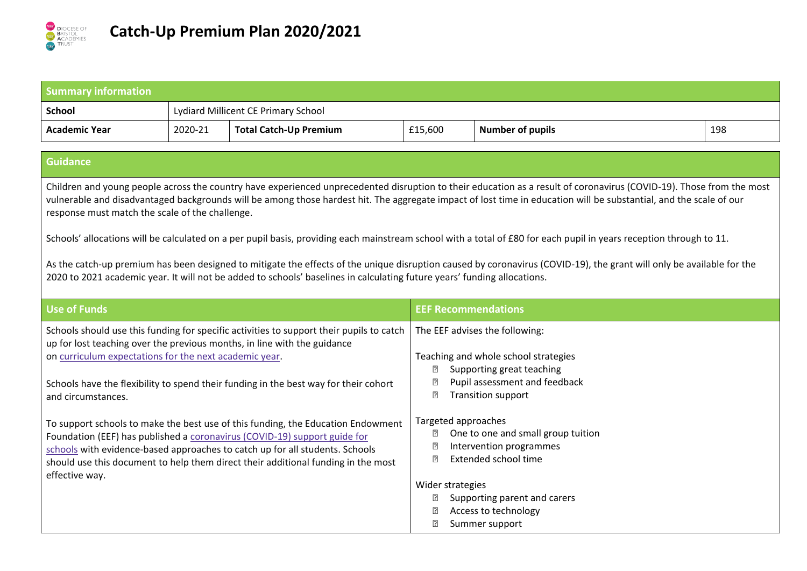

| <b>Summary information</b>                                                                                                                                                                                                                                                                                                                                                                                                                                                                                                                                                                                                                                                                                                                                                                                                                                                |         |                                                                                                                                                                                                                                                                                                                                    |                                                                                                                                                                                                 |                                                                                                                                                                 |     |
|---------------------------------------------------------------------------------------------------------------------------------------------------------------------------------------------------------------------------------------------------------------------------------------------------------------------------------------------------------------------------------------------------------------------------------------------------------------------------------------------------------------------------------------------------------------------------------------------------------------------------------------------------------------------------------------------------------------------------------------------------------------------------------------------------------------------------------------------------------------------------|---------|------------------------------------------------------------------------------------------------------------------------------------------------------------------------------------------------------------------------------------------------------------------------------------------------------------------------------------|-------------------------------------------------------------------------------------------------------------------------------------------------------------------------------------------------|-----------------------------------------------------------------------------------------------------------------------------------------------------------------|-----|
| <b>School</b>                                                                                                                                                                                                                                                                                                                                                                                                                                                                                                                                                                                                                                                                                                                                                                                                                                                             |         | Lydiard Millicent CE Primary School                                                                                                                                                                                                                                                                                                |                                                                                                                                                                                                 |                                                                                                                                                                 |     |
| <b>Academic Year</b>                                                                                                                                                                                                                                                                                                                                                                                                                                                                                                                                                                                                                                                                                                                                                                                                                                                      | 2020-21 | <b>Total Catch-Up Premium</b>                                                                                                                                                                                                                                                                                                      | £15,600                                                                                                                                                                                         | <b>Number of pupils</b>                                                                                                                                         | 198 |
| <b>Guidance</b>                                                                                                                                                                                                                                                                                                                                                                                                                                                                                                                                                                                                                                                                                                                                                                                                                                                           |         |                                                                                                                                                                                                                                                                                                                                    |                                                                                                                                                                                                 |                                                                                                                                                                 |     |
| Children and young people across the country have experienced unprecedented disruption to their education as a result of coronavirus (COVID-19). Those from the most<br>vulnerable and disadvantaged backgrounds will be among those hardest hit. The aggregate impact of lost time in education will be substantial, and the scale of our<br>response must match the scale of the challenge.<br>Schools' allocations will be calculated on a per pupil basis, providing each mainstream school with a total of £80 for each pupil in years reception through to 11.<br>As the catch-up premium has been designed to mitigate the effects of the unique disruption caused by coronavirus (COVID-19), the grant will only be available for the<br>2020 to 2021 academic year. It will not be added to schools' baselines in calculating future years' funding allocations. |         |                                                                                                                                                                                                                                                                                                                                    |                                                                                                                                                                                                 |                                                                                                                                                                 |     |
| <b>Use of Funds</b>                                                                                                                                                                                                                                                                                                                                                                                                                                                                                                                                                                                                                                                                                                                                                                                                                                                       |         |                                                                                                                                                                                                                                                                                                                                    | <b>EEF Recommendations</b>                                                                                                                                                                      |                                                                                                                                                                 |     |
| Schools should use this funding for specific activities to support their pupils to catch<br>up for lost teaching over the previous months, in line with the guidance<br>on curriculum expectations for the next academic year.<br>Schools have the flexibility to spend their funding in the best way for their cohort<br>and circumstances.                                                                                                                                                                                                                                                                                                                                                                                                                                                                                                                              |         |                                                                                                                                                                                                                                                                                                                                    | The EEF advises the following:<br>Teaching and whole school strategies<br>Supporting great teaching<br>?<br>Pupil assessment and feedback<br>[?]<br>$\overline{?}$<br><b>Transition support</b> |                                                                                                                                                                 |     |
| effective way.                                                                                                                                                                                                                                                                                                                                                                                                                                                                                                                                                                                                                                                                                                                                                                                                                                                            |         | To support schools to make the best use of this funding, the Education Endowment<br>Foundation (EEF) has published a coronavirus (COVID-19) support guide for<br>schools with evidence-based approaches to catch up for all students. Schools<br>should use this document to help them direct their additional funding in the most | Targeted approaches<br>₽<br>卪<br>Wider strategies                                                                                                                                               | One to one and small group tuition<br>Intervention programmes<br>Extended school time<br>Supporting parent and carers<br>Access to technology<br>Summer support |     |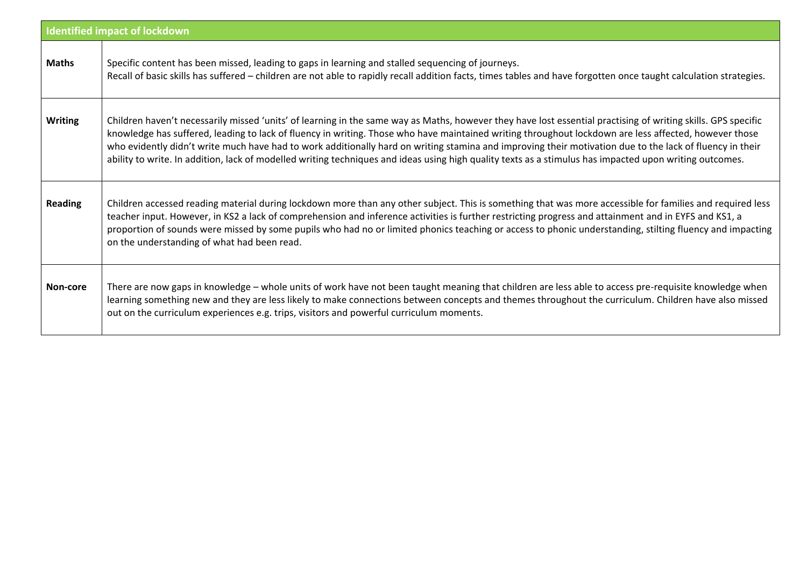| <b>Identified impact of lockdown</b> |                                                                                                                                                                                                                                                                                                                                                                                                                                                                                                                                                                                                                                               |  |  |  |
|--------------------------------------|-----------------------------------------------------------------------------------------------------------------------------------------------------------------------------------------------------------------------------------------------------------------------------------------------------------------------------------------------------------------------------------------------------------------------------------------------------------------------------------------------------------------------------------------------------------------------------------------------------------------------------------------------|--|--|--|
| <b>Maths</b>                         | Specific content has been missed, leading to gaps in learning and stalled sequencing of journeys.<br>Recall of basic skills has suffered - children are not able to rapidly recall addition facts, times tables and have forgotten once taught calculation strategies.                                                                                                                                                                                                                                                                                                                                                                        |  |  |  |
| <b>Writing</b>                       | Children haven't necessarily missed 'units' of learning in the same way as Maths, however they have lost essential practising of writing skills. GPS specific<br>knowledge has suffered, leading to lack of fluency in writing. Those who have maintained writing throughout lockdown are less affected, however those<br>who evidently didn't write much have had to work additionally hard on writing stamina and improving their motivation due to the lack of fluency in their<br>ability to write. In addition, lack of modelled writing techniques and ideas using high quality texts as a stimulus has impacted upon writing outcomes. |  |  |  |
| <b>Reading</b>                       | Children accessed reading material during lockdown more than any other subject. This is something that was more accessible for families and required less<br>teacher input. However, in KS2 a lack of comprehension and inference activities is further restricting progress and attainment and in EYFS and KS1, a<br>proportion of sounds were missed by some pupils who had no or limited phonics teaching or access to phonic understanding, stilting fluency and impacting<br>on the understanding of what had been read.                                                                                                                 |  |  |  |
| Non-core                             | There are now gaps in knowledge - whole units of work have not been taught meaning that children are less able to access pre-requisite knowledge when<br>learning something new and they are less likely to make connections between concepts and themes throughout the curriculum. Children have also missed<br>out on the curriculum experiences e.g. trips, visitors and powerful curriculum moments.                                                                                                                                                                                                                                      |  |  |  |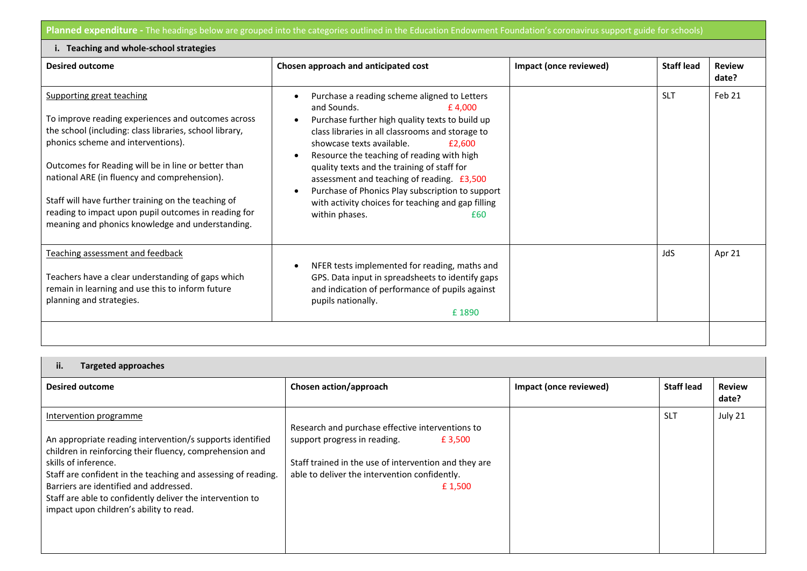Planned expenditure - The headings below are grouped into the categories outlined in the Education Endowment Foundation's coronavirus support guide for schools)

| i. Teaching and whole-school strategies                                                                                                                                                                                                                                                                                                                                                                                                                    |                                                                                                                                                                                                                                                                                                                                                                                                                                                                                                                             |                        |                   |                        |
|------------------------------------------------------------------------------------------------------------------------------------------------------------------------------------------------------------------------------------------------------------------------------------------------------------------------------------------------------------------------------------------------------------------------------------------------------------|-----------------------------------------------------------------------------------------------------------------------------------------------------------------------------------------------------------------------------------------------------------------------------------------------------------------------------------------------------------------------------------------------------------------------------------------------------------------------------------------------------------------------------|------------------------|-------------------|------------------------|
| <b>Desired outcome</b>                                                                                                                                                                                                                                                                                                                                                                                                                                     | Chosen approach and anticipated cost                                                                                                                                                                                                                                                                                                                                                                                                                                                                                        | Impact (once reviewed) | <b>Staff lead</b> | <b>Review</b><br>date? |
| Supporting great teaching<br>To improve reading experiences and outcomes across<br>the school (including: class libraries, school library,<br>phonics scheme and interventions).<br>Outcomes for Reading will be in line or better than<br>national ARE (in fluency and comprehension).<br>Staff will have further training on the teaching of<br>reading to impact upon pupil outcomes in reading for<br>meaning and phonics knowledge and understanding. | Purchase a reading scheme aligned to Letters<br>and Sounds.<br>£4.000<br>Purchase further high quality texts to build up<br>$\bullet$<br>class libraries in all classrooms and storage to<br>showcase texts available.<br>£2,600<br>Resource the teaching of reading with high<br>quality texts and the training of staff for<br>assessment and teaching of reading. £3,500<br>Purchase of Phonics Play subscription to support<br>$\bullet$<br>with activity choices for teaching and gap filling<br>within phases.<br>£60 |                        | <b>SLT</b>        | Feb 21                 |
| Teaching assessment and feedback<br>Teachers have a clear understanding of gaps which<br>remain in learning and use this to inform future<br>planning and strategies.                                                                                                                                                                                                                                                                                      | NFER tests implemented for reading, maths and<br>GPS. Data input in spreadsheets to identify gaps<br>and indication of performance of pupils against<br>pupils nationally.<br>£1890                                                                                                                                                                                                                                                                                                                                         |                        | JdS               | Apr 21                 |
|                                                                                                                                                                                                                                                                                                                                                                                                                                                            |                                                                                                                                                                                                                                                                                                                                                                                                                                                                                                                             |                        |                   |                        |

| н. |  | <b>Targeted approaches</b> |
|----|--|----------------------------|
|----|--|----------------------------|

| <b>Desired outcome</b>                                                                                                                                                                                                                                                                                                                                                                     | Chosen action/approach                                                                                                                                                                                          | Impact (once reviewed) | <b>Staff lead</b> | <b>Review</b><br>date? |
|--------------------------------------------------------------------------------------------------------------------------------------------------------------------------------------------------------------------------------------------------------------------------------------------------------------------------------------------------------------------------------------------|-----------------------------------------------------------------------------------------------------------------------------------------------------------------------------------------------------------------|------------------------|-------------------|------------------------|
| Intervention programme<br>An appropriate reading intervention/s supports identified<br>children in reinforcing their fluency, comprehension and<br>skills of inference.<br>Staff are confident in the teaching and assessing of reading.<br>Barriers are identified and addressed.<br>Staff are able to confidently deliver the intervention to<br>impact upon children's ability to read. | Research and purchase effective interventions to<br>support progress in reading.<br>£ 3,500<br>Staff trained in the use of intervention and they are<br>able to deliver the intervention confidently.<br>£1,500 |                        | <b>SLT</b>        | July 21                |